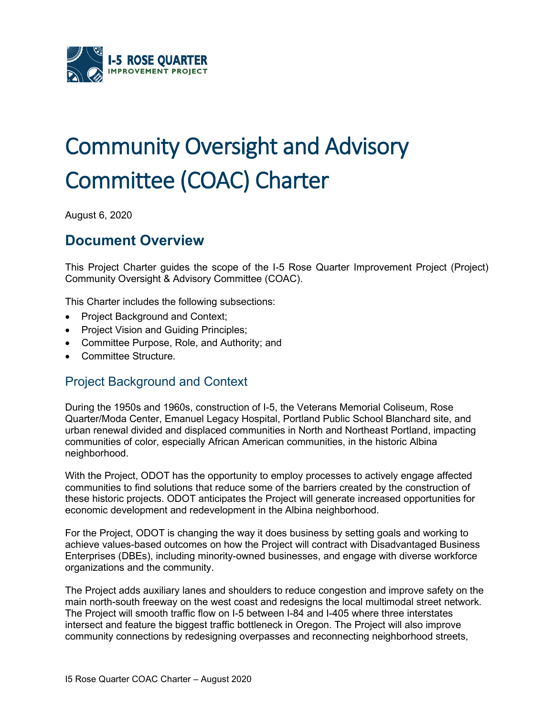

# Community Oversight and Advisory Committee (COAC) Charter

August 6, 2020

# **Document Overview**

This Project Charter guides the scope of the I-5 Rose Quarter Improvement Project (Project) Community Oversight & Advisory Committee (COAC).

This Charter includes the following subsections:

- Project Background and Context;
- Project Vision and Guiding Principles;
- Committee Purpose, Role, and Authority; and
- Committee Structure.

## Project Background and Context

During the 1950s and 1960s, construction of I-5, the Veterans Memorial Coliseum, Rose Quarter/Moda Center, Emanuel Legacy Hospital, Portland Public School Blanchard site, and urban renewal divided and displaced communities in North and Northeast Portland, impacting communities of color, especially African American communities, in the historic Albina neighborhood.

With the Project, ODOT has the opportunity to employ processes to actively engage affected communities to find solutions that reduce some of the barriers created by the construction of these historic projects. ODOT anticipates the Project will generate increased opportunities for economic development and redevelopment in the Albina neighborhood.

For the Project, ODOT is changing the way it does business by setting goals and working to achieve values-based outcomes on how the Project will contract with Disadvantaged Business Enterprises (DBEs), including minority-owned businesses, and engage with diverse workforce organizations and the community.

The Project adds auxiliary lanes and shoulders to reduce congestion and improve safety on the main north-south freeway on the west coast and redesigns the local multimodal street network. The Project will smooth traffic flow on I-5 between I-84 and I-405 where three interstates intersect and feature the biggest traffic bottleneck in Oregon. The Project will also improve community connections by redesigning overpasses and reconnecting neighborhood streets,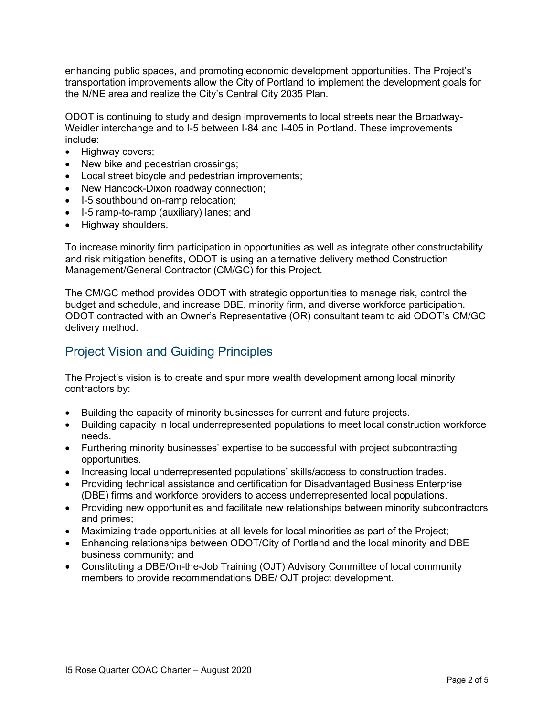enhancing public spaces, and promoting economic development opportunities. The Project's transportation improvements allow the City of Portland to implement the development goals for the N/NE area and realize the City's Central City 2035 Plan.

ODOT is continuing to study and design improvements to local streets near the Broadway-Weidler interchange and to I-5 between I-84 and I-405 in Portland. These improvements include:

- Highway covers;
- New bike and pedestrian crossings;
- Local street bicycle and pedestrian improvements;
- New Hancock-Dixon roadway connection;
- I-5 southbound on-ramp relocation:
- I-5 ramp-to-ramp (auxiliary) lanes; and
- Highway shoulders.

To increase minority firm participation in opportunities as well as integrate other constructability and risk mitigation benefits, ODOT is using an alternative delivery method Construction Management/General Contractor (CM/GC) for this Project.

The CM/GC method provides ODOT with strategic opportunities to manage risk, control the budget and schedule, and increase DBE, minority firm, and diverse workforce participation. ODOT contracted with an Owner's Representative (OR) consultant team to aid ODOT's CM/GC delivery method.

## Project Vision and Guiding Principles

The Project's vision is to create and spur more wealth development among local minority contractors by:

- Building the capacity of minority businesses for current and future projects.
- Building capacity in local underrepresented populations to meet local construction workforce needs.
- Furthering minority businesses' expertise to be successful with project subcontracting opportunities.
- Increasing local underrepresented populations' skills/access to construction trades.
- Providing technical assistance and certification for Disadvantaged Business Enterprise (DBE) firms and workforce providers to access underrepresented local populations.
- Providing new opportunities and facilitate new relationships between minority subcontractors and primes;
- Maximizing trade opportunities at all levels for local minorities as part of the Project;
- Enhancing relationships between ODOT/City of Portland and the local minority and DBE business community; and
- Constituting a DBE/On-the-Job Training (OJT) Advisory Committee of local community members to provide recommendations DBE/ OJT project development.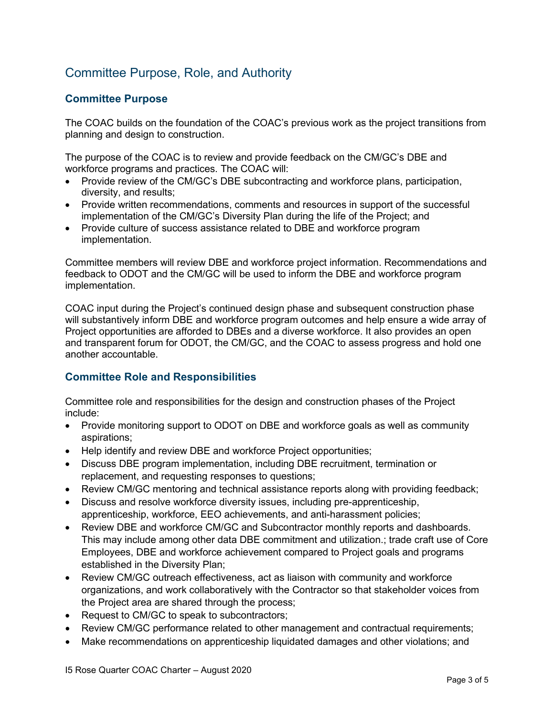## Committee Purpose, Role, and Authority

#### **Committee Purpose**

The COAC builds on the foundation of the COAC's previous work as the project transitions from planning and design to construction.

The purpose of the COAC is to review and provide feedback on the CM/GC's DBE and workforce programs and practices. The COAC will:

- Provide review of the CM/GC's DBE subcontracting and workforce plans, participation, diversity, and results;
- Provide written recommendations, comments and resources in support of the successful implementation of the CM/GC's Diversity Plan during the life of the Project; and
- Provide culture of success assistance related to DBE and workforce program implementation.

Committee members will review DBE and workforce project information. Recommendations and feedback to ODOT and the CM/GC will be used to inform the DBE and workforce program implementation.

COAC input during the Project's continued design phase and subsequent construction phase will substantively inform DBE and workforce program outcomes and help ensure a wide array of Project opportunities are afforded to DBEs and a diverse workforce. It also provides an open and transparent forum for ODOT, the CM/GC, and the COAC to assess progress and hold one another accountable.

#### **Committee Role and Responsibilities**

Committee role and responsibilities for the design and construction phases of the Project include:

- Provide monitoring support to ODOT on DBE and workforce goals as well as community aspirations;
- Help identify and review DBE and workforce Project opportunities;
- Discuss DBE program implementation, including DBE recruitment, termination or replacement, and requesting responses to questions;
- Review CM/GC mentoring and technical assistance reports along with providing feedback;
- Discuss and resolve workforce diversity issues, including pre-apprenticeship, apprenticeship, workforce, EEO achievements, and anti-harassment policies;
- Review DBE and workforce CM/GC and Subcontractor monthly reports and dashboards. This may include among other data DBE commitment and utilization.; trade craft use of Core Employees, DBE and workforce achievement compared to Project goals and programs established in the Diversity Plan;
- Review CM/GC outreach effectiveness, act as liaison with community and workforce organizations, and work collaboratively with the Contractor so that stakeholder voices from the Project area are shared through the process;
- Request to CM/GC to speak to subcontractors;
- Review CM/GC performance related to other management and contractual requirements;
- Make recommendations on apprenticeship liquidated damages and other violations; and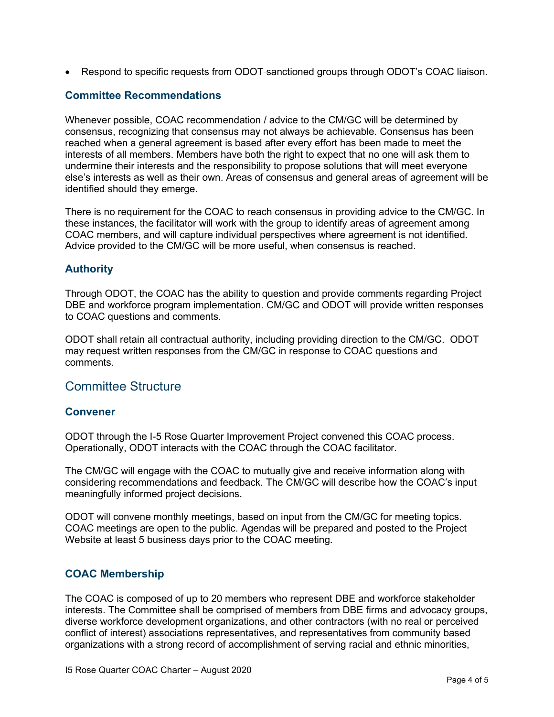• Respond to specific requests from ODOT-sanctioned groups through ODOT's COAC liaison.

#### **Committee Recommendations**

Whenever possible, COAC recommendation / advice to the CM/GC will be determined by consensus, recognizing that consensus may not always be achievable. Consensus has been reached when a general agreement is based after every effort has been made to meet the interests of all members. Members have both the right to expect that no one will ask them to undermine their interests and the responsibility to propose solutions that will meet everyone else's interests as well as their own. Areas of consensus and general areas of agreement will be identified should they emerge.

There is no requirement for the COAC to reach consensus in providing advice to the CM/GC. In these instances, the facilitator will work with the group to identify areas of agreement among COAC members, and will capture individual perspectives where agreement is not identified. Advice provided to the CM/GC will be more useful, when consensus is reached.

#### **Authority**

Through ODOT, the COAC has the ability to question and provide comments regarding Project DBE and workforce program implementation. CM/GC and ODOT will provide written responses to COAC questions and comments.

ODOT shall retain all contractual authority, including providing direction to the CM/GC. ODOT may request written responses from the CM/GC in response to COAC questions and comments.

#### Committee Structure

#### **Convener**

ODOT through the I-5 Rose Quarter Improvement Project convened this COAC process. Operationally, ODOT interacts with the COAC through the COAC facilitator.

The CM/GC will engage with the COAC to mutually give and receive information along with considering recommendations and feedback. The CM/GC will describe how the COAC's input meaningfully informed project decisions.

ODOT will convene monthly meetings, based on input from the CM/GC for meeting topics. COAC meetings are open to the public. Agendas will be prepared and posted to the Project Website at least 5 business days prior to the COAC meeting.

#### **COAC Membership**

The COAC is composed of up to 20 members who represent DBE and workforce stakeholder interests. The Committee shall be comprised of members from DBE firms and advocacy groups, diverse workforce development organizations, and other contractors (with no real or perceived conflict of interest) associations representatives, and representatives from community based organizations with a strong record of accomplishment of serving racial and ethnic minorities,